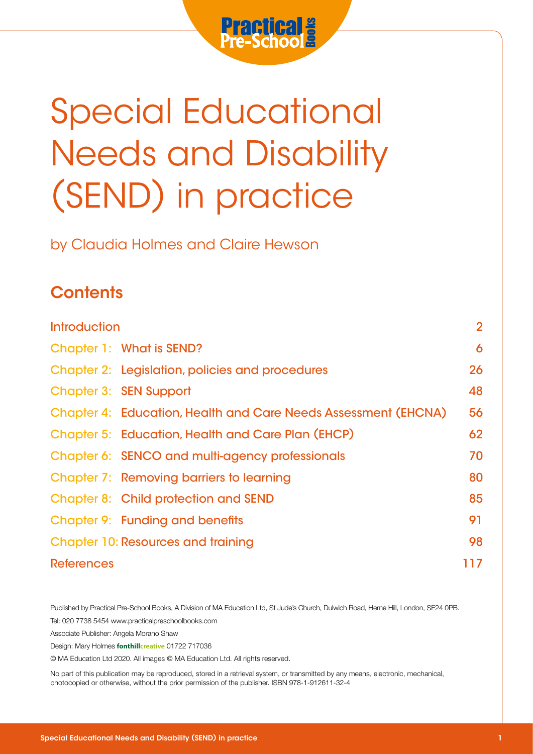

# Special Educational Needs and Disability (SEND) in practice

## **Contents**

|                                         | <b>Special Educational</b><br><b>Needs and Disability</b>                                                                                                                                                                                         |                |
|-----------------------------------------|---------------------------------------------------------------------------------------------------------------------------------------------------------------------------------------------------------------------------------------------------|----------------|
|                                         | (SEND) in practice                                                                                                                                                                                                                                |                |
|                                         | by Claudia Holmes and Claire Hewson                                                                                                                                                                                                               |                |
| <b>Contents</b>                         |                                                                                                                                                                                                                                                   |                |
| <b>Introduction</b>                     |                                                                                                                                                                                                                                                   | $\overline{2}$ |
|                                         | <b>Chapter 1: What is SEND?</b>                                                                                                                                                                                                                   | 6              |
|                                         | <b>Chapter 2: Legislation, policies and procedures</b>                                                                                                                                                                                            | 26             |
|                                         | <b>Chapter 3: SEN Support</b>                                                                                                                                                                                                                     | 48             |
|                                         | <b>Chapter 4: Education, Health and Care Needs Assessment (EHCNA)</b>                                                                                                                                                                             | 56             |
|                                         | <b>Chapter 5: Education, Health and Care Plan (EHCP)</b>                                                                                                                                                                                          | 62             |
|                                         | Chapter 6: SENCO and multi-agency professionals                                                                                                                                                                                                   | 70             |
|                                         | <b>Chapter 7: Removing barriers to learning</b>                                                                                                                                                                                                   | 80             |
|                                         | <b>Chapter 8: Child protection and SEND</b>                                                                                                                                                                                                       | 85             |
|                                         | <b>Chapter 9: Funding and benefits</b>                                                                                                                                                                                                            | 91             |
|                                         | <b>Chapter 10: Resources and training</b>                                                                                                                                                                                                         | 98             |
| <b>References</b>                       |                                                                                                                                                                                                                                                   | 117            |
| Associate Publisher: Angela Morano Shaw | Published by Practical Pre-School Books, A Division of MA Education Ltd, St Jude's Church, Dulwich Road, Herne Hill, London, SE24 0PB.<br>Tel: 020 7738 5454 www.practicalpreschoolbooks.com<br>Design: Mary Holmes fonthillcreative 01722 717036 |                |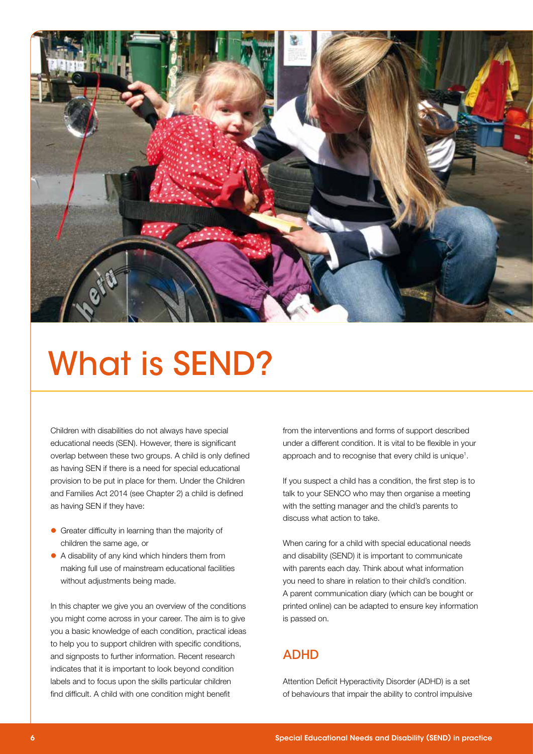

## What is SEND?

Children with disabilities do not always have special educational needs (SEN). However, there is significant overlap between these two groups. A child is only defined as having SEN if there is a need for special educational provision to be put in place for them. Under the Children and Families Act 2014 (see Chapter 2) a child is defined as having SEN if they have:

- **•** Greater difficulty in learning than the majority of children the same age, or
- A disability of any kind which hinders them from making full use of mainstream educational facilities without adjustments being made.

In this chapter we give you an overview of the conditions you might come across in your career. The aim is to give you a basic knowledge of each condition, practical ideas to help you to support children with specific conditions, and signposts to further information. Recent research indicates that it is important to look beyond condition labels and to focus upon the skills particular children find difficult. A child with one condition might benefit

from the interventions and forms of support described under a different condition. It is vital to be flexible in your approach and to recognise that every child is unique<sup>1</sup>.

If you suspect a child has a condition, the first step is to talk to your SENCO who may then organise a meeting with the setting manager and the child's parents to discuss what action to take.

When caring for a child with special educational needs and disability (SEND) it is important to communicate with parents each day. Think about what information you need to share in relation to their child's condition. A parent communication diary (which can be bought or printed online) can be adapted to ensure key information is passed on.

### ADHD

Attention Deficit Hyperactivity Disorder (ADHD) is a set of behaviours that impair the ability to control impulsive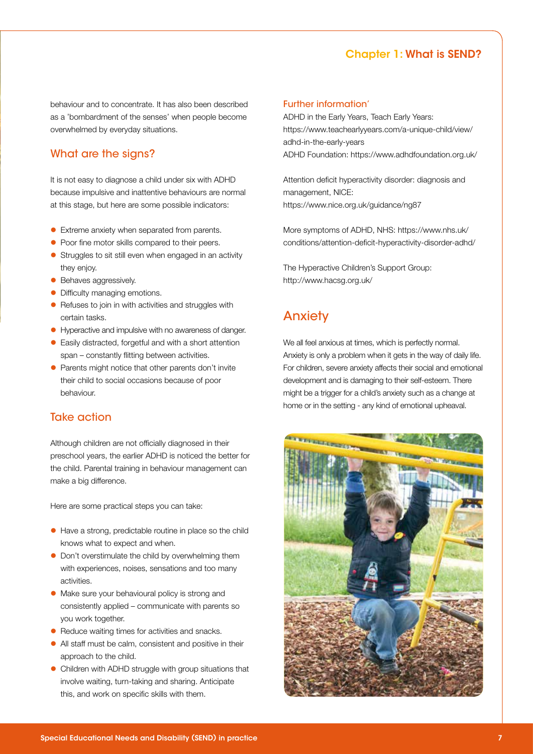#### Chapter 1: What is SEND?

behaviour and to concentrate. It has also been described as a 'bombardment of the senses' when people become overwhelmed by everyday situations.

#### What are the signs?

It is not easy to diagnose a child under six with ADHD because impulsive and inattentive behaviours are normal at this stage, but here are some possible indicators:

- $\bullet$  Extreme anxiety when separated from parents.
- Poor fine motor skills compared to their peers.
- **C** Struggles to sit still even when engaged in an activity they enjoy.
- Behaves aggressively.
- Difficulty managing emotions.
- Refuses to join in with activities and struggles with certain tasks.
- Hyperactive and impulsive with no awareness of danger.
- **Easily distracted, forgetful and with a short attention** span – constantly flitting between activities.
- Parents might notice that other parents don't invite their child to social occasions because of poor behaviour.

#### Take action

Although children are not officially diagnosed in their preschool years, the earlier ADHD is noticed the better for the child. Parental training in behaviour management can make a big difference.

Here are some practical steps you can take:

- l Have a strong, predictable routine in place so the child knows what to expect and when.
- Don't overstimulate the child by overwhelming them with experiences, noises, sensations and too many activities.
- Make sure your behavioural policy is strong and consistently applied – communicate with parents so you work together.
- Reduce waiting times for activities and snacks.
- $\bullet$  All staff must be calm, consistent and positive in their approach to the child.
- $\bullet$  Children with ADHD struggle with group situations that involve waiting, turn-taking and sharing. Anticipate this, and work on specific skills with them.

#### Further information'

ADHD in the Early Years, Teach Early Years: https://www.teachearlyyears.com/a-unique-child/view/ adhd-in-the-early-years ADHD Foundation: https://www.adhdfoundation.org.uk/

Attention deficit hyperactivity disorder: diagnosis and management, NICE: https://www.nice.org.uk/guidance/ng87

More symptoms of ADHD, NHS: https://www.nhs.uk/ conditions/attention-deficit-hyperactivity-disorder-adhd/

The Hyperactive Children's Support Group: http://www.hacsg.org.uk/

### Anxiety

We all feel anxious at times, which is perfectly normal. Anxiety is only a problem when it gets in the way of daily life. For children, severe anxiety affects their social and emotional development and is damaging to their self-esteem. There might be a trigger for a child's anxiety such as a change at home or in the setting - any kind of emotional upheaval.

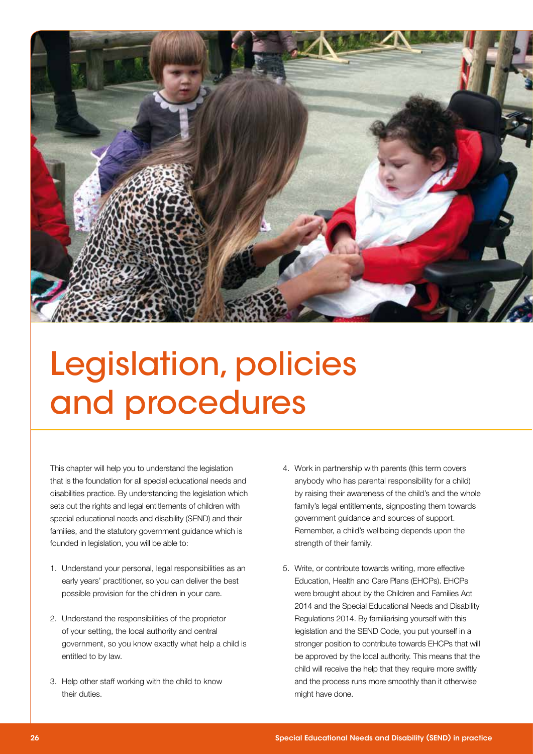

## Legislation, policies and procedures

This chapter will help you to understand the legislation that is the foundation for all special educational needs and disabilities practice. By understanding the legislation which sets out the rights and legal entitlements of children with special educational needs and disability (SEND) and their families, and the statutory government guidance which is founded in legislation, you will be able to:

- 1. Understand your personal, legal responsibilities as an early years' practitioner, so you can deliver the best possible provision for the children in your care.
- 2. Understand the responsibilities of the proprietor of your setting, the local authority and central government, so you know exactly what help a child is entitled to by law.
- 3. Help other staff working with the child to know their duties.
- 4. Work in partnership with parents (this term covers anybody who has parental responsibility for a child) by raising their awareness of the child's and the whole family's legal entitlements, signposting them towards government guidance and sources of support. Remember, a child's wellbeing depends upon the strength of their family.
- 5. Write, or contribute towards writing, more effective Education, Health and Care Plans (EHCPs). EHCPs were brought about by the Children and Families Act 2014 and the Special Educational Needs and Disability Regulations 2014. By familiarising yourself with this legislation and the SEND Code, you put yourself in a stronger position to contribute towards EHCPs that will be approved by the local authority. This means that the child will receive the help that they require more swiftly and the process runs more smoothly than it otherwise might have done.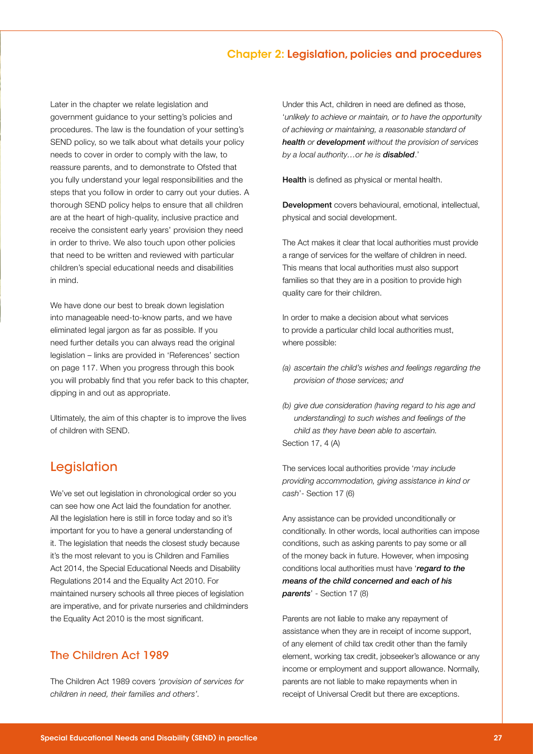#### Chapter 2: Legislation, policies and procedures

Later in the chapter we relate legislation and government guidance to your setting's policies and procedures. The law is the foundation of your setting's SEND policy, so we talk about what details your policy needs to cover in order to comply with the law, to reassure parents, and to demonstrate to Ofsted that you fully understand your legal responsibilities and the steps that you follow in order to carry out your duties. A thorough SEND policy helps to ensure that all children are at the heart of high-quality, inclusive practice and receive the consistent early years' provision they need in order to thrive. We also touch upon other policies that need to be written and reviewed with particular children's special educational needs and disabilities in mind.

We have done our best to break down legislation into manageable need-to-know parts, and we have eliminated legal jargon as far as possible. If you need further details you can always read the original legislation – links are provided in 'References' section on page 117. When you progress through this book you will probably find that you refer back to this chapter, dipping in and out as appropriate.

Ultimately, the aim of this chapter is to improve the lives of children with SEND.

### Legislation

We've set out legislation in chronological order so you can see how one Act laid the foundation for another. All the legislation here is still in force today and so it's important for you to have a general understanding of it. The legislation that needs the closest study because it's the most relevant to you is Children and Families Act 2014, the Special Educational Needs and Disability Regulations 2014 and the Equality Act 2010. For maintained nursery schools all three pieces of legislation are imperative, and for private nurseries and childminders the Equality Act 2010 is the most significant.

#### The Children Act 1989

The Children Act 1989 covers *'provision of services for children in need, their families and others'.*

Under this Act, children in need are defined as those, '*unlikely to achieve or maintain, or to have the opportunity of achieving or maintaining, a reasonable standard of health or development without the provision of services by a local authority…or he is disabled*.'

Health is defined as physical or mental health.

Development covers behavioural, emotional, intellectual, physical and social development.

The Act makes it clear that local authorities must provide a range of services for the welfare of children in need. This means that local authorities must also support families so that they are in a position to provide high quality care for their children.

In order to make a decision about what services to provide a particular child local authorities must, where possible:

- *(a) ascertain the child's wishes and feelings regarding the provision of those services; and*
- *(b) give due consideration (having regard to his age and understanding) to such wishes and feelings of the child as they have been able to ascertain.*  Section 17, 4 (A)

The services local authorities provide '*may include providing accommodation, giving assistance in kind or cash*'- Section 17 (6)

Any assistance can be provided unconditionally or conditionally. In other words, local authorities can impose conditions, such as asking parents to pay some or all of the money back in future. However, when imposing conditions local authorities must have '*regard to the means of the child concerned and each of his parents*' - Section 17 (8)

Parents are not liable to make any repayment of assistance when they are in receipt of income support, of any element of child tax credit other than the family element, working tax credit, jobseeker's allowance or any income or employment and support allowance. Normally, parents are not liable to make repayments when in receipt of Universal Credit but there are exceptions.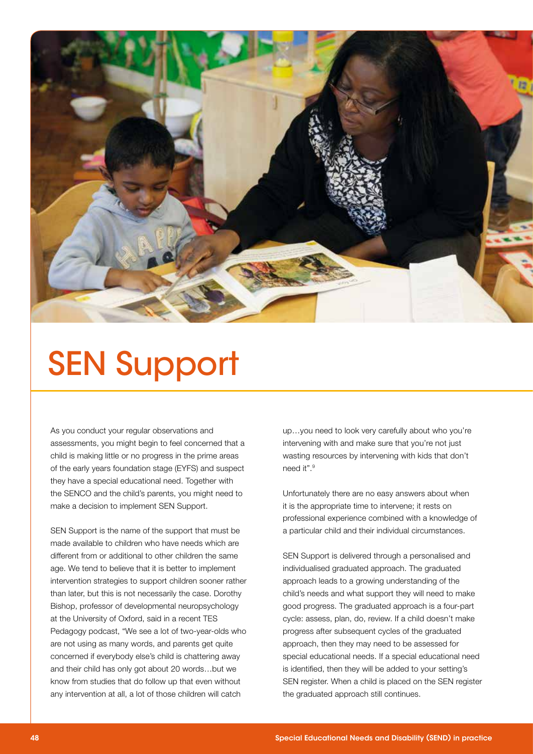

## SEN Support

As you conduct your regular observations and assessments, you might begin to feel concerned that a child is making little or no progress in the prime areas of the early years foundation stage (EYFS) and suspect they have a special educational need. Together with the SENCO and the child's parents, you might need to make a decision to implement SEN Support.

SEN Support is the name of the support that must be made available to children who have needs which are different from or additional to other children the same age. We tend to believe that it is better to implement intervention strategies to support children sooner rather than later, but this is not necessarily the case. Dorothy Bishop, professor of developmental neuropsychology at the University of Oxford, said in a recent TES Pedagogy podcast, "We see a lot of two-year-olds who are not using as many words, and parents get quite concerned if everybody else's child is chattering away and their child has only got about 20 words…but we know from studies that do follow up that even without any intervention at all, a lot of those children will catch

up…you need to look very carefully about who you're intervening with and make sure that you're not just wasting resources by intervening with kids that don't need it".9

Unfortunately there are no easy answers about when it is the appropriate time to intervene; it rests on professional experience combined with a knowledge of a particular child and their individual circumstances.

SEN Support is delivered through a personalised and individualised graduated approach. The graduated approach leads to a growing understanding of the child's needs and what support they will need to make good progress. The graduated approach is a four-part cycle: assess, plan, do, review. If a child doesn't make progress after subsequent cycles of the graduated approach, then they may need to be assessed for special educational needs. If a special educational need is identified, then they will be added to your setting's SEN register. When a child is placed on the SEN register the graduated approach still continues.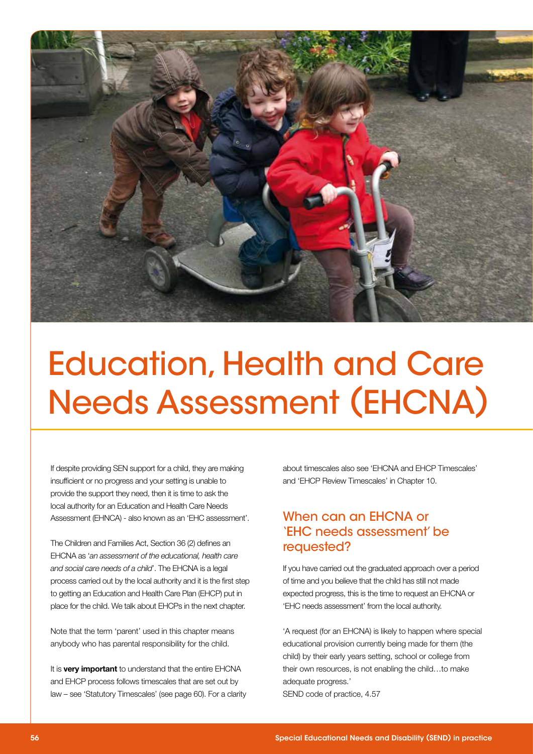

## Education, Health and Care Needs Assessment (EHCNA)

If despite providing SEN support for a child, they are making insufficient or no progress and your setting is unable to provide the support they need, then it is time to ask the local authority for an Education and Health Care Needs Assessment (EHNCA) - also known as an 'EHC assessment'.

The Children and Families Act, Section 36 (2) defines an EHCNA as '*an assessment of the educational, health care*  and social care needs of a child'. The EHCNA is a legal process carried out by the local authority and it is the first step to getting an Education and Health Care Plan (EHCP) put in place for the child. We talk about EHCPs in the next chapter.

Note that the term 'parent' used in this chapter means anybody who has parental responsibility for the child.

It is **very important** to understand that the entire EHCNA and EHCP process follows timescales that are set out by law – see 'Statutory Timescales' (see page 60). For a clarity about timescales also see 'EHCNA and EHCP Timescales' and 'EHCP Review Timescales' in Chapter 10.

### When can an EHCNA or 'EHC needs assessment' be requested?

If you have carried out the graduated approach over a period of time and you believe that the child has still not made expected progress, this is the time to request an EHCNA or 'EHC needs assessment' from the local authority.

'A request (for an EHCNA) is likely to happen where special educational provision currently being made for them (the child) by their early years setting, school or college from their own resources, is not enabling the child…to make adequate progress.' SEND code of practice, 4.57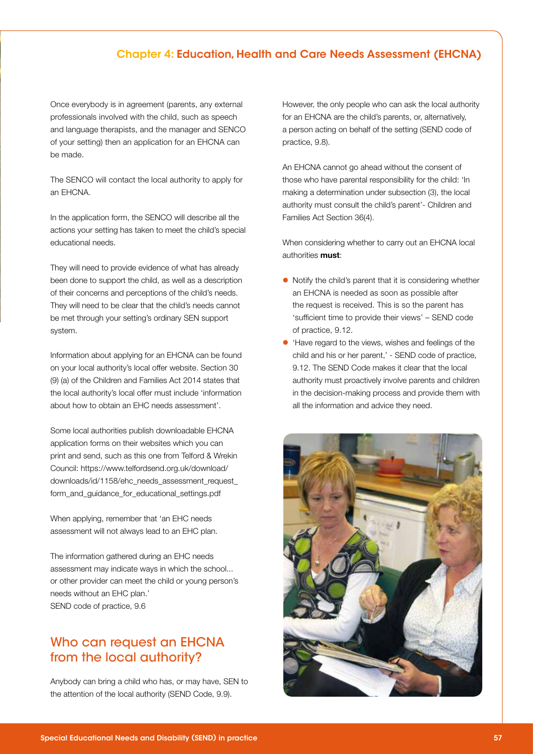#### Chapter 4: Education, Health and Care Needs Assessment (EHCNA)

Once everybody is in agreement (parents, any external professionals involved with the child, such as speech and language therapists, and the manager and SENCO of your setting) then an application for an EHCNA can be made.

The SENCO will contact the local authority to apply for an EHCNA.

In the application form, the SENCO will describe all the actions your setting has taken to meet the child's special educational needs.

They will need to provide evidence of what has already been done to support the child, as well as a description of their concerns and perceptions of the child's needs. They will need to be clear that the child's needs cannot be met through your setting's ordinary SEN support system.

Information about applying for an EHCNA can be found on your local authority's local offer website. Section 30 (9) (a) of the Children and Families Act 2014 states that the local authority's local offer must include 'information about how to obtain an EHC needs assessment'.

Some local authorities publish downloadable EHCNA application forms on their websites which you can print and send, such as this one from Telford & Wrekin Council: https://www.telfordsend.org.uk/download/ downloads/id/1158/ehc\_needs\_assessment\_request\_ form\_and\_guidance\_for\_educational\_settings.pdf

When applying, remember that 'an EHC needs assessment will not always lead to an EHC plan.

The information gathered during an EHC needs assessment may indicate ways in which the school... or other provider can meet the child or young person's needs without an EHC plan.' SEND code of practice, 9.6

### Who can request an EHCNA from the local authority?

Anybody can bring a child who has, or may have, SEN to the attention of the local authority (SEND Code, 9.9).

However, the only people who can ask the local authority for an EHCNA are the child's parents, or, alternatively, a person acting on behalf of the setting (SEND code of practice, 9.8).

An EHCNA cannot go ahead without the consent of those who have parental responsibility for the child: 'In making a determination under subsection (3), the local authority must consult the child's parent'- Children and Families Act Section 36(4).

When considering whether to carry out an EHCNA local authorities must:

- $\bullet$  Notify the child's parent that it is considering whether an EHCNA is needed as soon as possible after the request is received. This is so the parent has 'sufficient time to provide their views' – SEND code of practice, 9.12.
- **.** 'Have regard to the views, wishes and feelings of the child and his or her parent,' - SEND code of practice, 9.12. The SEND Code makes it clear that the local authority must proactively involve parents and children in the decision-making process and provide them with all the information and advice they need.